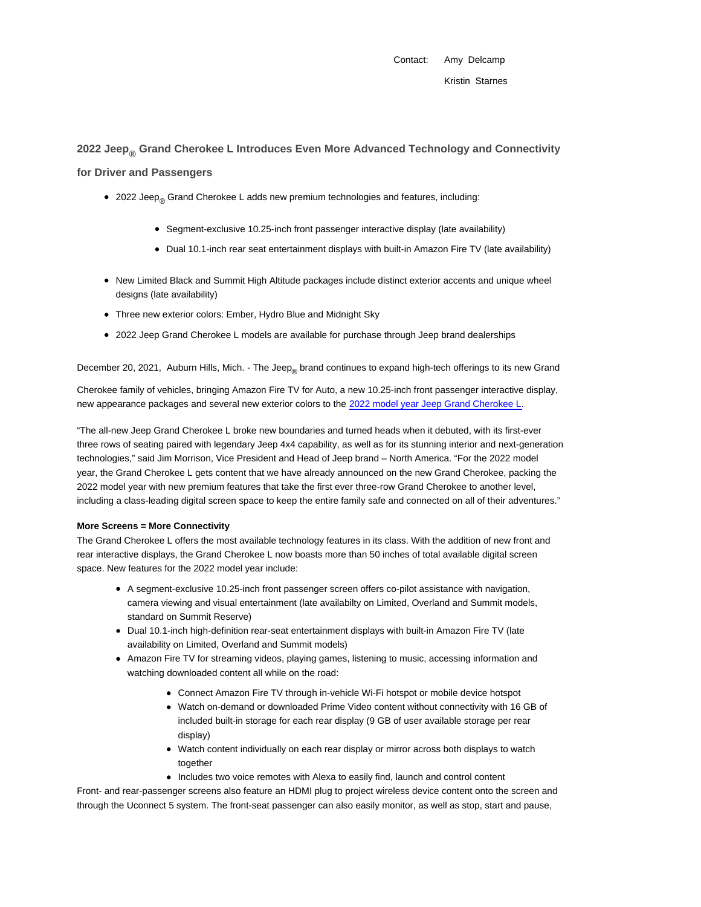Contact: Amy Delcamp

# **2022 Jeep® Grand Cherokee L Introduces Even More Advanced Technology and Connectivity**

**for Driver and Passengers**

- 2022 Jeep<sub>®</sub> Grand Cherokee L adds new premium technologies and features, including:
	- Segment-exclusive 10.25-inch front passenger interactive display (late availability)
	- Dual 10.1-inch rear seat entertainment displays with built-in Amazon Fire TV (late availability)
- New Limited Black and Summit High Altitude packages include distinct exterior accents and unique wheel designs (late availability)
- Three new exterior colors: Ember, Hydro Blue and Midnight Sky
- 2022 Jeep Grand Cherokee L models are available for purchase through Jeep brand dealerships

December 20, 2021, Auburn Hills, Mich. - The Jeep<sub>®</sub> brand continues to expand high-tech offerings to its new Grand

Cherokee family of vehicles, bringing Amazon Fire TV for Auto, a new 10.25-inch front passenger interactive display, new appearance packages and several new exterior colors to the 2022 model year Jeep Grand Cherokee L.

"The all-new Jeep Grand Cherokee L broke new boundaries and turned heads when it debuted, with its first-ever three rows of seating paired with legendary Jeep 4x4 capability, as well as for its stunning interior and next-generation technologies," said Jim Morrison, Vice President and Head of Jeep brand – North America. "For the 2022 model year, the Grand Cherokee L gets content that we have already announced on the new Grand Cherokee, packing the 2022 model year with new premium features that take the first ever three-row Grand Cherokee to another level, including a class-leading digital screen space to keep the entire family safe and connected on all of their adventures."

#### **More Screens = More Connectivity**

The Grand Cherokee L offers the most available technology features in its class. With the addition of new front and rear interactive displays, the Grand Cherokee L now boasts more than 50 inches of total available digital screen space. New features for the 2022 model year include:

- A segment-exclusive 10.25-inch front passenger screen offers co-pilot assistance with navigation, camera viewing and visual entertainment (late availabilty on Limited, Overland and Summit models, standard on Summit Reserve)
- Dual 10.1-inch high-definition rear-seat entertainment displays with built-in Amazon Fire TV (late availability on Limited, Overland and Summit models)
- Amazon Fire TV for streaming videos, playing games, listening to music, accessing information and watching downloaded content all while on the road:
	- Connect Amazon Fire TV through in-vehicle Wi-Fi hotspot or mobile device hotspot
	- Watch on-demand or downloaded Prime Video content without connectivity with 16 GB of included built-in storage for each rear display (9 GB of user available storage per rear display)
	- Watch content individually on each rear display or mirror across both displays to watch together
	- Includes two voice remotes with Alexa to easily find, launch and control content

Front- and rear-passenger screens also feature an HDMI plug to project wireless device content onto the screen and through the Uconnect 5 system. The front-seat passenger can also easily monitor, as well as stop, start and pause,